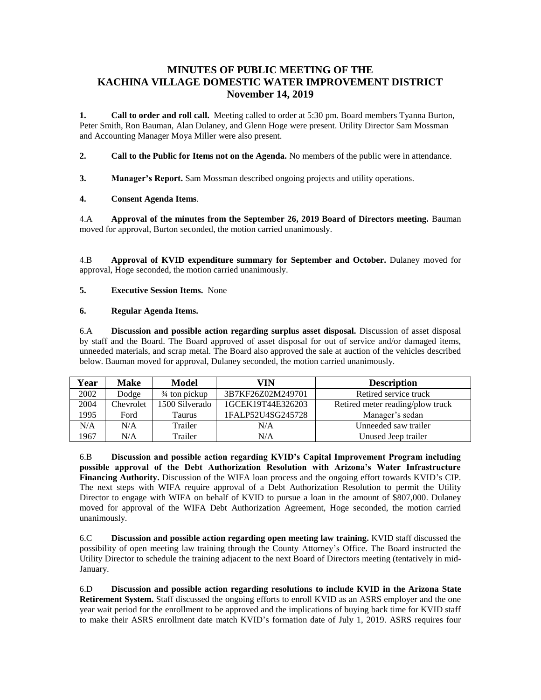# **MINUTES OF PUBLIC MEETING OF THE KACHINA VILLAGE DOMESTIC WATER IMPROVEMENT DISTRICT November 14, 2019**

**1. Call to order and roll call.** Meeting called to order at 5:30 pm. Board members Tyanna Burton, Peter Smith, Ron Bauman, Alan Dulaney, and Glenn Hoge were present. Utility Director Sam Mossman and Accounting Manager Moya Miller were also present.

- **2. Call to the Public for Items not on the Agenda.** No members of the public were in attendance.
- **3. Manager's Report.** Sam Mossman described ongoing projects and utility operations.

### **4. Consent Agenda Items**.

4.A **Approval of the minutes from the September 26, 2019 Board of Directors meeting.** Bauman moved for approval, Burton seconded, the motion carried unanimously.

4.B **Approval of KVID expenditure summary for September and October.** Dulaney moved for approval, Hoge seconded, the motion carried unanimously.

### **5. Executive Session Items.** None

#### **6. Regular Agenda Items.**

6.A **Discussion and possible action regarding surplus asset disposal.** Discussion of asset disposal by staff and the Board. The Board approved of asset disposal for out of service and/or damaged items, unneeded materials, and scrap metal. The Board also approved the sale at auction of the vehicles described below. Bauman moved for approval, Dulaney seconded, the motion carried unanimously.

| Year | <b>Make</b> | <b>Model</b>             | VIN               | <b>Description</b>               |
|------|-------------|--------------------------|-------------------|----------------------------------|
| 2002 | Dodge       | $\frac{3}{4}$ ton pickup | 3B7KF26Z02M249701 | Retired service truck            |
| 2004 | Chevrolet   | 1500 Silverado           | 1GCEK19T44E326203 | Retired meter reading/plow truck |
| 1995 | Ford        | Taurus                   | 1FALP52U4SG245728 | Manager's sedan                  |
| N/A  | N/A         | Trailer                  | N/A               | Unneeded saw trailer             |
| 1967 | N/A         | Trailer                  | N/A               | Unused Jeep trailer              |

6.B **Discussion and possible action regarding KVID's Capital Improvement Program including possible approval of the Debt Authorization Resolution with Arizona's Water Infrastructure Financing Authority.** Discussion of the WIFA loan process and the ongoing effort towards KVID's CIP. The next steps with WIFA require approval of a Debt Authorization Resolution to permit the Utility Director to engage with WIFA on behalf of KVID to pursue a loan in the amount of \$807,000. Dulaney moved for approval of the WIFA Debt Authorization Agreement, Hoge seconded, the motion carried unanimously.

6.C **Discussion and possible action regarding open meeting law training.** KVID staff discussed the possibility of open meeting law training through the County Attorney's Office. The Board instructed the Utility Director to schedule the training adjacent to the next Board of Directors meeting (tentatively in mid-January.

6.D **Discussion and possible action regarding resolutions to include KVID in the Arizona State Retirement System.** Staff discussed the ongoing efforts to enroll KVID as an ASRS employer and the one year wait period for the enrollment to be approved and the implications of buying back time for KVID staff to make their ASRS enrollment date match KVID's formation date of July 1, 2019. ASRS requires four